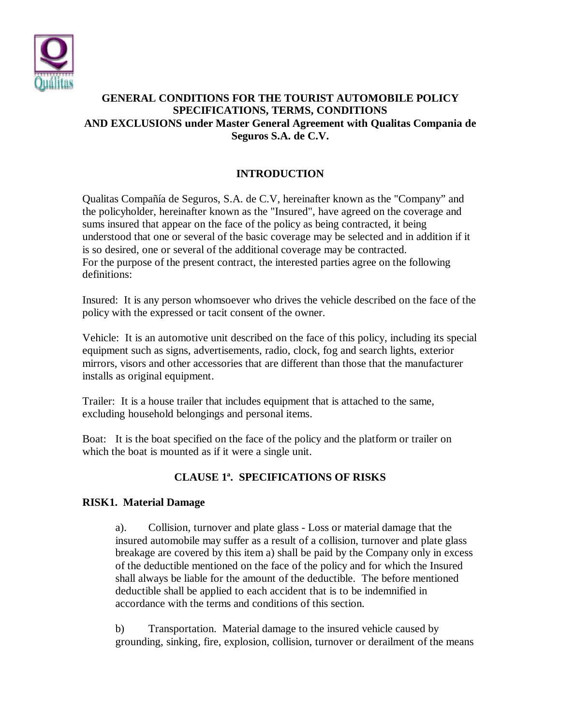

### **GENERAL CONDITIONS FOR THE TOURIST AUTOMOBILE POLICY SPECIFICATIONS, TERMS, CONDITIONS AND EXCLUSIONS under Master General Agreement with Qualitas Compania de Seguros S.A. de C.V.**

## **INTRODUCTION**

Qualitas Compañía de Seguros, S.A. de C.V, hereinafter known as the "Company" and the policyholder, hereinafter known as the "Insured", have agreed on the coverage and sums insured that appear on the face of the policy as being contracted, it being understood that one or several of the basic coverage may be selected and in addition if it is so desired, one or several of the additional coverage may be contracted. For the purpose of the present contract, the interested parties agree on the following definitions:

Insured: It is any person whomsoever who drives the vehicle described on the face of the policy with the expressed or tacit consent of the owner.

Vehicle: It is an automotive unit described on the face of this policy, including its special equipment such as signs, advertisements, radio, clock, fog and search lights, exterior mirrors, visors and other accessories that are different than those that the manufacturer installs as original equipment.

Trailer: It is a house trailer that includes equipment that is attached to the same, excluding household belongings and personal items.

Boat: It is the boat specified on the face of the policy and the platform or trailer on which the boat is mounted as if it were a single unit.

## **CLAUSE 1ª. SPECIFICATIONS OF RISKS**

#### **RISK1. Material Damage**

a). Collision, turnover and plate glass - Loss or material damage that the insured automobile may suffer as a result of a collision, turnover and plate glass breakage are covered by this item a) shall be paid by the Company only in excess of the deductible mentioned on the face of the policy and for which the Insured shall always be liable for the amount of the deductible. The before mentioned deductible shall be applied to each accident that is to be indemnified in accordance with the terms and conditions of this section.

b) Transportation. Material damage to the insured vehicle caused by grounding, sinking, fire, explosion, collision, turnover or derailment of the means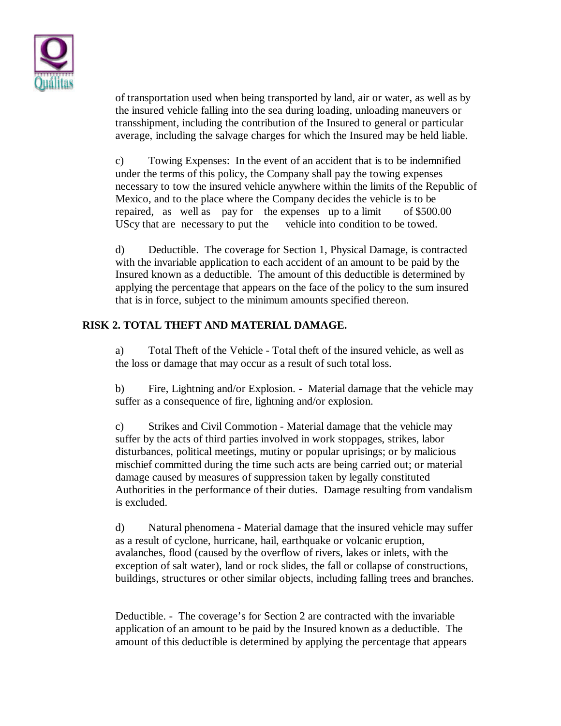

of transportation used when being transported by land, air or water, as well as by the insured vehicle falling into the sea during loading, unloading maneuvers or transshipment, including the contribution of the Insured to general or particular average, including the salvage charges for which the Insured may be held liable.

c) Towing Expenses: In the event of an accident that is to be indemnified under the terms of this policy, the Company shall pay the towing expenses necessary to tow the insured vehicle anywhere within the limits of the Republic of Mexico, and to the place where the Company decides the vehicle is to be repaired, as well as pay for the expenses up to a limit of \$500.00 UScy that are necessary to put the vehicle into condition to be towed.

d) Deductible. The coverage for Section 1, Physical Damage, is contracted with the invariable application to each accident of an amount to be paid by the Insured known as a deductible. The amount of this deductible is determined by applying the percentage that appears on the face of the policy to the sum insured that is in force, subject to the minimum amounts specified thereon.

### **RISK 2. TOTAL THEFT AND MATERIAL DAMAGE.**

a) Total Theft of the Vehicle - Total theft of the insured vehicle, as well as the loss or damage that may occur as a result of such total loss.

b) Fire, Lightning and/or Explosion. - Material damage that the vehicle may suffer as a consequence of fire, lightning and/or explosion.

c) Strikes and Civil Commotion - Material damage that the vehicle may suffer by the acts of third parties involved in work stoppages, strikes, labor disturbances, political meetings, mutiny or popular uprisings; or by malicious mischief committed during the time such acts are being carried out; or material damage caused by measures of suppression taken by legally constituted Authorities in the performance of their duties. Damage resulting from vandalism is excluded.

d) Natural phenomena - Material damage that the insured vehicle may suffer as a result of cyclone, hurricane, hail, earthquake or volcanic eruption, avalanches, flood (caused by the overflow of rivers, lakes or inlets, with the exception of salt water), land or rock slides, the fall or collapse of constructions, buildings, structures or other similar objects, including falling trees and branches.

Deductible. - The coverage's for Section 2 are contracted with the invariable application of an amount to be paid by the Insured known as a deductible. The amount of this deductible is determined by applying the percentage that appears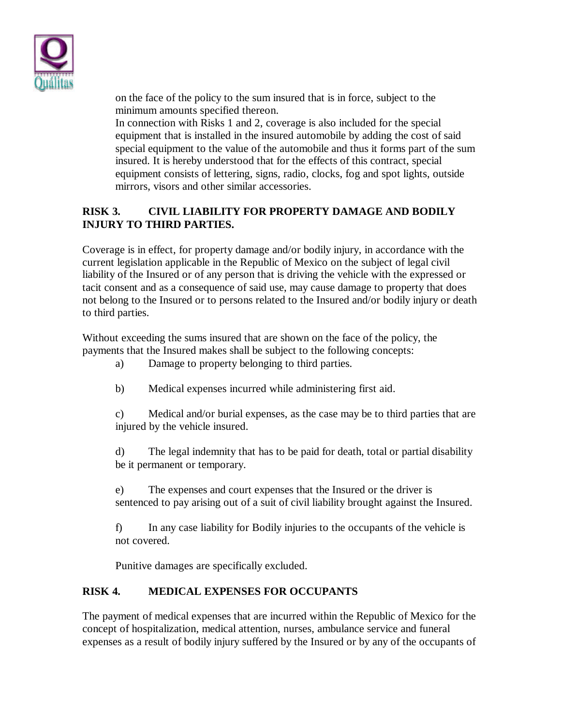

on the face of the policy to the sum insured that is in force, subject to the minimum amounts specified thereon.

In connection with Risks 1 and 2, coverage is also included for the special equipment that is installed in the insured automobile by adding the cost of said special equipment to the value of the automobile and thus it forms part of the sum insured. It is hereby understood that for the effects of this contract, special equipment consists of lettering, signs, radio, clocks, fog and spot lights, outside mirrors, visors and other similar accessories.

## **RISK 3. CIVIL LIABILITY FOR PROPERTY DAMAGE AND BODILY INJURY TO THIRD PARTIES.**

Coverage is in effect, for property damage and/or bodily injury, in accordance with the current legislation applicable in the Republic of Mexico on the subject of legal civil liability of the Insured or of any person that is driving the vehicle with the expressed or tacit consent and as a consequence of said use, may cause damage to property that does not belong to the Insured or to persons related to the Insured and/or bodily injury or death to third parties.

Without exceeding the sums insured that are shown on the face of the policy, the payments that the Insured makes shall be subject to the following concepts:

- a) Damage to property belonging to third parties.
- b) Medical expenses incurred while administering first aid.

c) Medical and/or burial expenses, as the case may be to third parties that are injured by the vehicle insured.

d) The legal indemnity that has to be paid for death, total or partial disability be it permanent or temporary.

e) The expenses and court expenses that the Insured or the driver is sentenced to pay arising out of a suit of civil liability brought against the Insured.

f) In any case liability for Bodily injuries to the occupants of the vehicle is not covered.

Punitive damages are specifically excluded.

## **RISK 4. MEDICAL EXPENSES FOR OCCUPANTS**

The payment of medical expenses that are incurred within the Republic of Mexico for the concept of hospitalization, medical attention, nurses, ambulance service and funeral expenses as a result of bodily injury suffered by the Insured or by any of the occupants of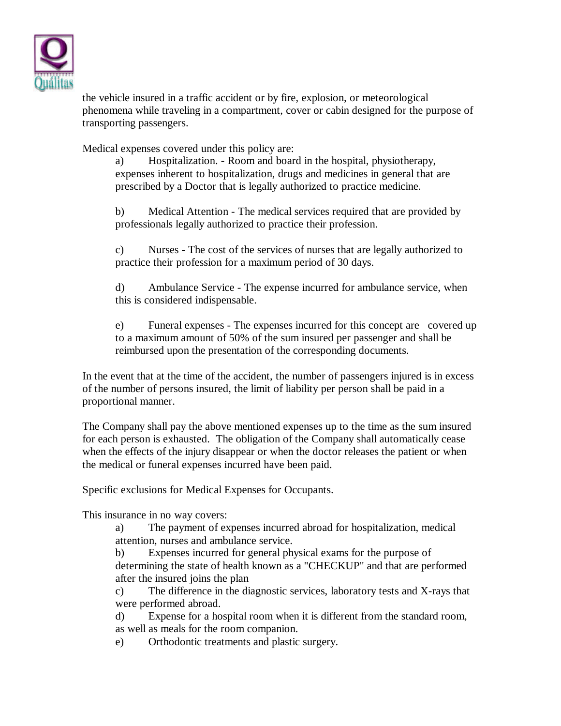

the vehicle insured in a traffic accident or by fire, explosion, or meteorological phenomena while traveling in a compartment, cover or cabin designed for the purpose of transporting passengers.

Medical expenses covered under this policy are:

a) Hospitalization. - Room and board in the hospital, physiotherapy, expenses inherent to hospitalization, drugs and medicines in general that are prescribed by a Doctor that is legally authorized to practice medicine.

b) Medical Attention - The medical services required that are provided by professionals legally authorized to practice their profession.

c) Nurses - The cost of the services of nurses that are legally authorized to practice their profession for a maximum period of 30 days.

d) Ambulance Service - The expense incurred for ambulance service, when this is considered indispensable.

e) Funeral expenses - The expenses incurred for this concept are covered up to a maximum amount of 50% of the sum insured per passenger and shall be reimbursed upon the presentation of the corresponding documents.

In the event that at the time of the accident, the number of passengers injured is in excess of the number of persons insured, the limit of liability per person shall be paid in a proportional manner.

The Company shall pay the above mentioned expenses up to the time as the sum insured for each person is exhausted. The obligation of the Company shall automatically cease when the effects of the injury disappear or when the doctor releases the patient or when the medical or funeral expenses incurred have been paid.

Specific exclusions for Medical Expenses for Occupants.

This insurance in no way covers:

a) The payment of expenses incurred abroad for hospitalization, medical attention, nurses and ambulance service.

b) Expenses incurred for general physical exams for the purpose of determining the state of health known as a "CHECKUP" and that are performed after the insured joins the plan

c) The difference in the diagnostic services, laboratory tests and X-rays that were performed abroad.

d) Expense for a hospital room when it is different from the standard room, as well as meals for the room companion.

e) Orthodontic treatments and plastic surgery.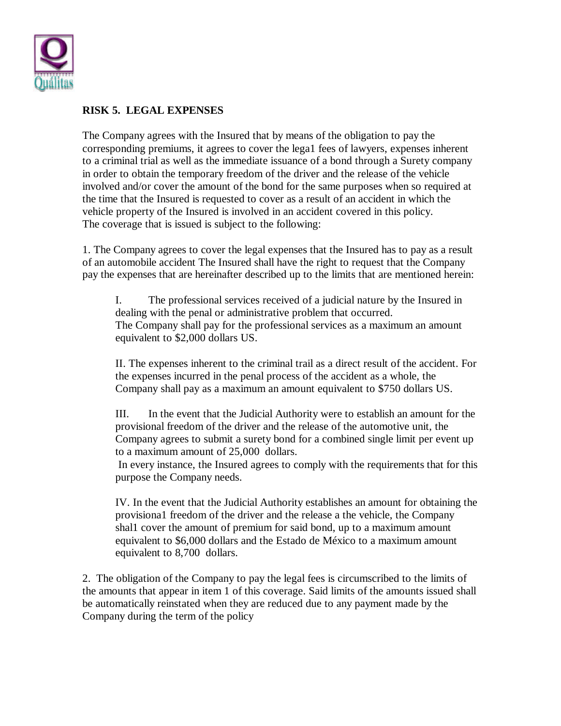

### **RISK 5. LEGAL EXPENSES**

The Company agrees with the Insured that by means of the obligation to pay the corresponding premiums, it agrees to cover the lega1 fees of lawyers, expenses inherent to a criminal trial as well as the immediate issuance of a bond through a Surety company in order to obtain the temporary freedom of the driver and the release of the vehicle involved and/or cover the amount of the bond for the same purposes when so required at the time that the Insured is requested to cover as a result of an accident in which the vehicle property of the Insured is involved in an accident covered in this policy. The coverage that is issued is subject to the following:

1. The Company agrees to cover the legal expenses that the Insured has to pay as a result of an automobile accident The Insured shall have the right to request that the Company pay the expenses that are hereinafter described up to the limits that are mentioned herein:

I. The professional services received of a judicial nature by the Insured in dealing with the penal or administrative problem that occurred. The Company shall pay for the professional services as a maximum an amount equivalent to \$2,000 dollars US.

II. The expenses inherent to the criminal trail as a direct result of the accident. For the expenses incurred in the penal process of the accident as a whole, the Company shall pay as a maximum an amount equivalent to \$750 dollars US.

III. In the event that the Judicial Authority were to establish an amount for the provisional freedom of the driver and the release of the automotive unit, the Company agrees to submit a surety bond for a combined single limit per event up to a maximum amount of 25,000 dollars.

 In every instance, the Insured agrees to comply with the requirements that for this purpose the Company needs.

IV. In the event that the Judicial Authority establishes an amount for obtaining the provisiona1 freedom of the driver and the release a the vehicle, the Company shal1 cover the amount of premium for said bond, up to a maximum amount equivalent to \$6,000 dollars and the Estado de México to a maximum amount equivalent to 8,700 dollars.

2. The obligation of the Company to pay the legal fees is circumscribed to the limits of the amounts that appear in item 1 of this coverage. Said limits of the amounts issued shall be automatically reinstated when they are reduced due to any payment made by the Company during the term of the policy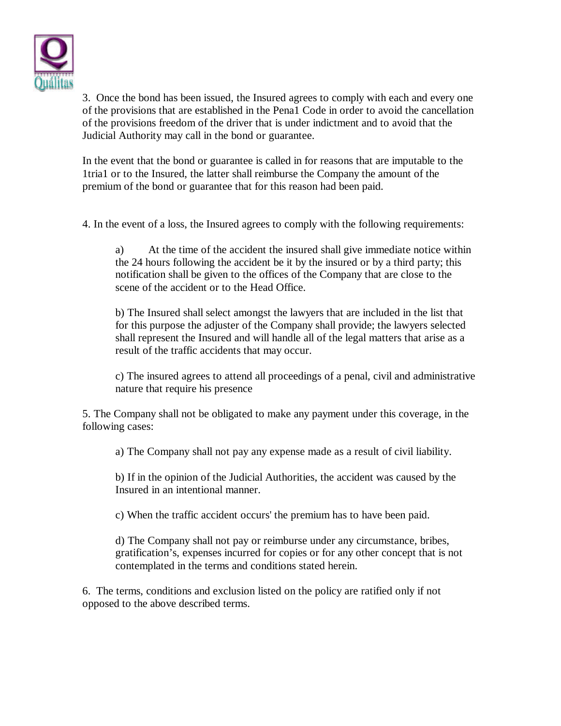

3. Once the bond has been issued, the Insured agrees to comply with each and every one of the provisions that are established in the Pena1 Code in order to avoid the cancellation of the provisions freedom of the driver that is under indictment and to avoid that the Judicial Authority may call in the bond or guarantee.

In the event that the bond or guarantee is called in for reasons that are imputable to the 1tria1 or to the Insured, the latter shall reimburse the Company the amount of the premium of the bond or guarantee that for this reason had been paid.

4. In the event of a loss, the Insured agrees to comply with the following requirements:

a) At the time of the accident the insured shall give immediate notice within the 24 hours following the accident be it by the insured or by a third party; this notification shall be given to the offices of the Company that are close to the scene of the accident or to the Head Office.

b) The Insured shall select amongst the lawyers that are included in the list that for this purpose the adjuster of the Company shall provide; the lawyers selected shall represent the Insured and will handle all of the legal matters that arise as a result of the traffic accidents that may occur.

c) The insured agrees to attend all proceedings of a penal, civil and administrative nature that require his presence

5. The Company shall not be obligated to make any payment under this coverage, in the following cases:

a) The Company shall not pay any expense made as a result of civil liability.

b) If in the opinion of the Judicial Authorities, the accident was caused by the Insured in an intentional manner.

c) When the traffic accident occurs' the premium has to have been paid.

d) The Company shall not pay or reimburse under any circumstance, bribes, gratification's, expenses incurred for copies or for any other concept that is not contemplated in the terms and conditions stated herein.

6. The terms, conditions and exclusion listed on the policy are ratified only if not opposed to the above described terms.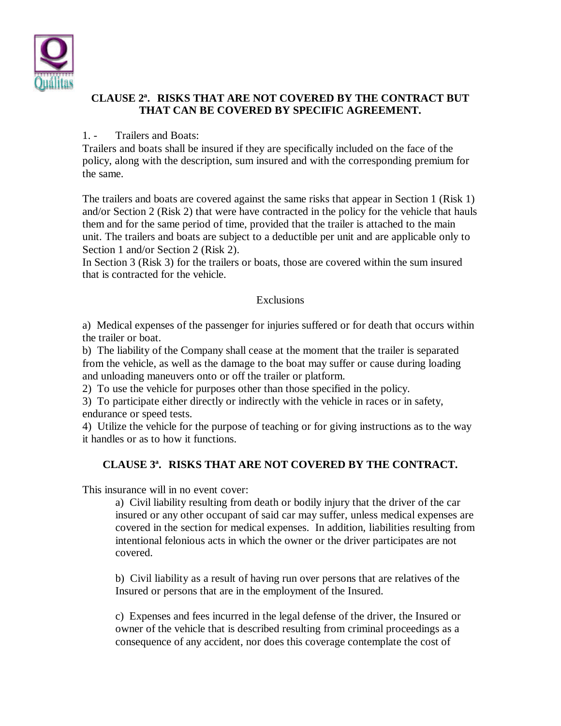

### **CLAUSE 2ª. RISKS THAT ARE NOT COVERED BY THE CONTRACT BUT THAT CAN BE COVERED BY SPECIFIC AGREEMENT.**

#### 1. - Trailers and Boats:

Trailers and boats shall be insured if they are specifically included on the face of the policy, along with the description, sum insured and with the corresponding premium for the same.

The trailers and boats are covered against the same risks that appear in Section 1 (Risk 1) and/or Section 2 (Risk 2) that were have contracted in the policy for the vehicle that hauls them and for the same period of time, provided that the trailer is attached to the main unit. The trailers and boats are subject to a deductible per unit and are applicable only to Section 1 and/or Section 2 (Risk 2).

In Section 3 (Risk 3) for the trailers or boats, those are covered within the sum insured that is contracted for the vehicle.

#### Exclusions

a) Medical expenses of the passenger for injuries suffered or for death that occurs within the trailer or boat.

b) The liability of the Company shall cease at the moment that the trailer is separated from the vehicle, as well as the damage to the boat may suffer or cause during loading and unloading maneuvers onto or off the trailer or platform.

2) To use the vehicle for purposes other than those specified in the policy.

3) To participate either directly or indirectly with the vehicle in races or in safety, endurance or speed tests.

4) Utilize the vehicle for the purpose of teaching or for giving instructions as to the way it handles or as to how it functions.

## **CLAUSE 3ª. RISKS THAT ARE NOT COVERED BY THE CONTRACT.**

This insurance will in no event cover:

a) Civil liability resulting from death or bodily injury that the driver of the car insured or any other occupant of said car may suffer, unless medical expenses are covered in the section for medical expenses. In addition, liabilities resulting from intentional felonious acts in which the owner or the driver participates are not covered.

b) Civil liability as a result of having run over persons that are relatives of the Insured or persons that are in the employment of the Insured.

c) Expenses and fees incurred in the legal defense of the driver, the Insured or owner of the vehicle that is described resulting from criminal proceedings as a consequence of any accident, nor does this coverage contemplate the cost of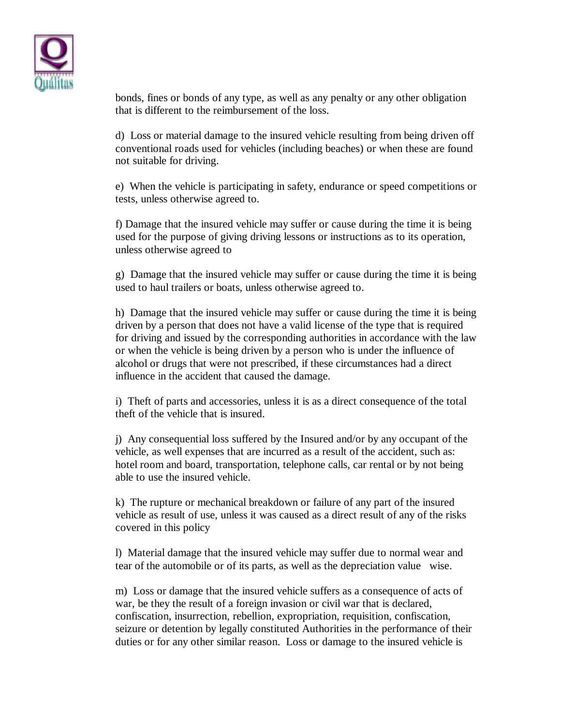

bonds, fines or bonds of any type, as well as any penalty or any other obligation that is different to the reimbursement of the loss.

d) Loss or material damage to the insured vehicle resulting from being driven off conventional roads used for vehicles (including beaches) or when these are found not suitable for driving.

e) When the vehicle is participating in safety, endurance or speed competitions or tests, unless otherwise agreed to.

f) Damage that the insured vehicle may suffer or cause during the time it is being used for the purpose of giving driving lessons or instructions as to its operation, unless otherwise agreed to

g) Damage that the insured vehicle may suffer or cause during the time it is being used to haul trailers or boats, unless otherwise agreed to.

h) Damage that the insured vehicle may suffer or cause during the time it is being driven by a person that does not have a valid license of the type that is required for driving and issued by the corresponding authorities in accordance with the law or when the vehicle is being driven by a person who is under the influence of alcohol or drugs that were not prescribed, if these circumstances had a direct influence in the accident that caused the damage.

i) Theft of parts and accessories, unless it is as a direct consequence of the total theft of the vehicle that is insured.

j) Any consequential loss suffered by the Insured and/or by any occupant of the vehicle, as well expenses that are incurred as a result of the accident, such as: hotel room and board, transportation, telephone calls, car rental or by not being able to use the insured vehicle.

k) The rupture or mechanical breakdown or failure of any part of the insured vehicle as result of use, unless it was caused as a direct result of any of the risks covered in this policy

l) Material damage that the insured vehicle may suffer due to normal wear and tear of the automobile or of its parts, as well as the depreciation value wise.

m) Loss or damage that the insured vehicle suffers as a consequence of acts of war, be they the result of a foreign invasion or civil war that is declared, confiscation, insurrection, rebellion, expropriation, requisition, confiscation, seizure or detention by legally constituted Authorities in the performance of their duties or for any other similar reason. Loss or damage to the insured vehicle is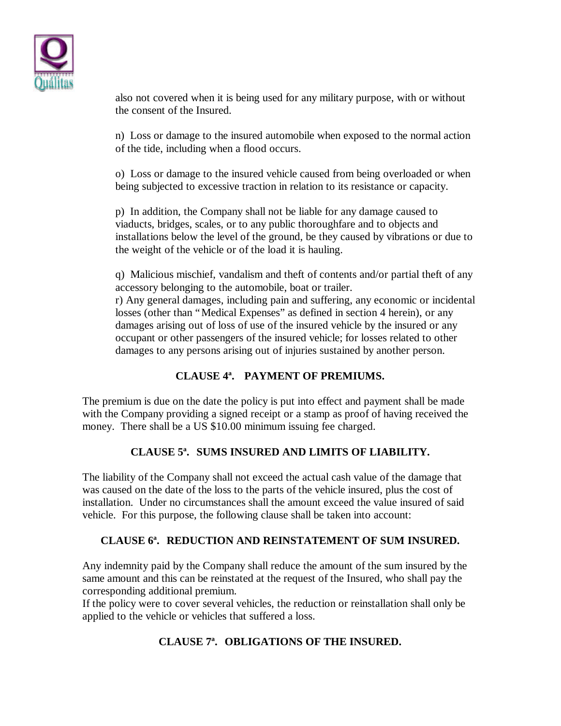

also not covered when it is being used for any military purpose, with or without the consent of the Insured.

n) Loss or damage to the insured automobile when exposed to the normal action of the tide, including when a flood occurs.

o) Loss or damage to the insured vehicle caused from being overloaded or when being subjected to excessive traction in relation to its resistance or capacity.

p) In addition, the Company shall not be liable for any damage caused to viaducts, bridges, scales, or to any public thoroughfare and to objects and installations below the level of the ground, be they caused by vibrations or due to the weight of the vehicle or of the load it is hauling.

q) Malicious mischief, vandalism and theft of contents and/or partial theft of any accessory belonging to the automobile, boat or trailer.

r) Any general damages, including pain and suffering, any economic or incidental losses (other than "Medical Expenses" as defined in section 4 herein), or any damages arising out of loss of use of the insured vehicle by the insured or any occupant or other passengers of the insured vehicle; for losses related to other damages to any persons arising out of injuries sustained by another person.

## **CLAUSE 4ª. PAYMENT OF PREMIUMS.**

The premium is due on the date the policy is put into effect and payment shall be made with the Company providing a signed receipt or a stamp as proof of having received the money. There shall be a US \$10.00 minimum issuing fee charged.

## **CLAUSE 5ª. SUMS INSURED AND LIMITS OF LIABILITY.**

The liability of the Company shall not exceed the actual cash value of the damage that was caused on the date of the loss to the parts of the vehicle insured, plus the cost of installation. Under no circumstances shall the amount exceed the value insured of said vehicle. For this purpose, the following clause shall be taken into account:

#### **CLAUSE 6ª. REDUCTION AND REINSTATEMENT OF SUM INSURED.**

Any indemnity paid by the Company shall reduce the amount of the sum insured by the same amount and this can be reinstated at the request of the Insured, who shall pay the corresponding additional premium.

If the policy were to cover several vehicles, the reduction or reinstallation shall only be applied to the vehicle or vehicles that suffered a loss.

## **CLAUSE 7ª. OBLIGATIONS OF THE INSURED.**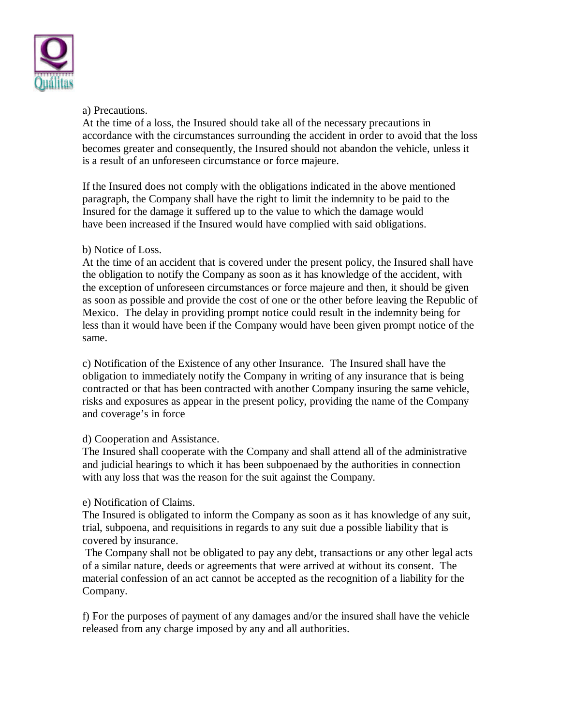

#### a) Precautions.

At the time of a loss, the Insured should take all of the necessary precautions in accordance with the circumstances surrounding the accident in order to avoid that the loss becomes greater and consequently, the Insured should not abandon the vehicle, unless it is a result of an unforeseen circumstance or force majeure.

If the Insured does not comply with the obligations indicated in the above mentioned paragraph, the Company shall have the right to limit the indemnity to be paid to the Insured for the damage it suffered up to the value to which the damage would have been increased if the Insured would have complied with said obligations.

#### b) Notice of Loss.

At the time of an accident that is covered under the present policy, the Insured shall have the obligation to notify the Company as soon as it has knowledge of the accident, with the exception of unforeseen circumstances or force majeure and then, it should be given as soon as possible and provide the cost of one or the other before leaving the Republic of Mexico. The delay in providing prompt notice could result in the indemnity being for less than it would have been if the Company would have been given prompt notice of the same.

c) Notification of the Existence of any other Insurance. The Insured shall have the obligation to immediately notify the Company in writing of any insurance that is being contracted or that has been contracted with another Company insuring the same vehicle, risks and exposures as appear in the present policy, providing the name of the Company and coverage's in force

#### d) Cooperation and Assistance.

The Insured shall cooperate with the Company and shall attend all of the administrative and judicial hearings to which it has been subpoenaed by the authorities in connection with any loss that was the reason for the suit against the Company.

#### e) Notification of Claims.

The Insured is obligated to inform the Company as soon as it has knowledge of any suit, trial, subpoena, and requisitions in regards to any suit due a possible liability that is covered by insurance.

 The Company shall not be obligated to pay any debt, transactions or any other legal acts of a similar nature, deeds or agreements that were arrived at without its consent. The material confession of an act cannot be accepted as the recognition of a liability for the Company.

f) For the purposes of payment of any damages and/or the insured shall have the vehicle released from any charge imposed by any and all authorities.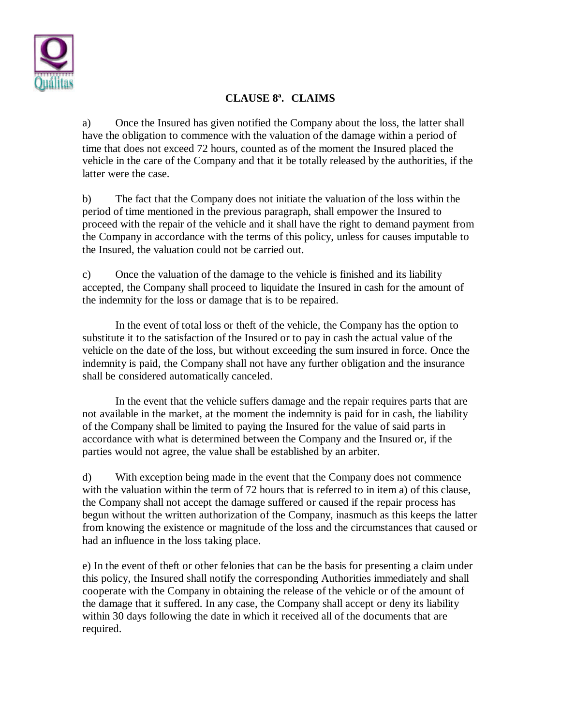

# **CLAUSE 8ª. CLAIMS**

a) Once the Insured has given notified the Company about the loss, the latter shall have the obligation to commence with the valuation of the damage within a period of time that does not exceed 72 hours, counted as of the moment the Insured placed the vehicle in the care of the Company and that it be totally released by the authorities, if the latter were the case.

b) The fact that the Company does not initiate the valuation of the loss within the period of time mentioned in the previous paragraph, shall empower the Insured to proceed with the repair of the vehicle and it shall have the right to demand payment from the Company in accordance with the terms of this policy, unless for causes imputable to the Insured, the valuation could not be carried out.

c) Once the valuation of the damage to the vehicle is finished and its liability accepted, the Company shall proceed to liquidate the Insured in cash for the amount of the indemnity for the loss or damage that is to be repaired.

In the event of total loss or theft of the vehicle, the Company has the option to substitute it to the satisfaction of the Insured or to pay in cash the actual value of the vehicle on the date of the loss, but without exceeding the sum insured in force. Once the indemnity is paid, the Company shall not have any further obligation and the insurance shall be considered automatically canceled.

In the event that the vehicle suffers damage and the repair requires parts that are not available in the market, at the moment the indemnity is paid for in cash, the liability of the Company shall be limited to paying the Insured for the value of said parts in accordance with what is determined between the Company and the Insured or, if the parties would not agree, the value shall be established by an arbiter.

d) With exception being made in the event that the Company does not commence with the valuation within the term of 72 hours that is referred to in item a) of this clause, the Company shall not accept the damage suffered or caused if the repair process has begun without the written authorization of the Company, inasmuch as this keeps the latter from knowing the existence or magnitude of the loss and the circumstances that caused or had an influence in the loss taking place.

e) In the event of theft or other felonies that can be the basis for presenting a claim under this policy, the Insured shall notify the corresponding Authorities immediately and shall cooperate with the Company in obtaining the release of the vehicle or of the amount of the damage that it suffered. In any case, the Company shall accept or deny its liability within 30 days following the date in which it received all of the documents that are required.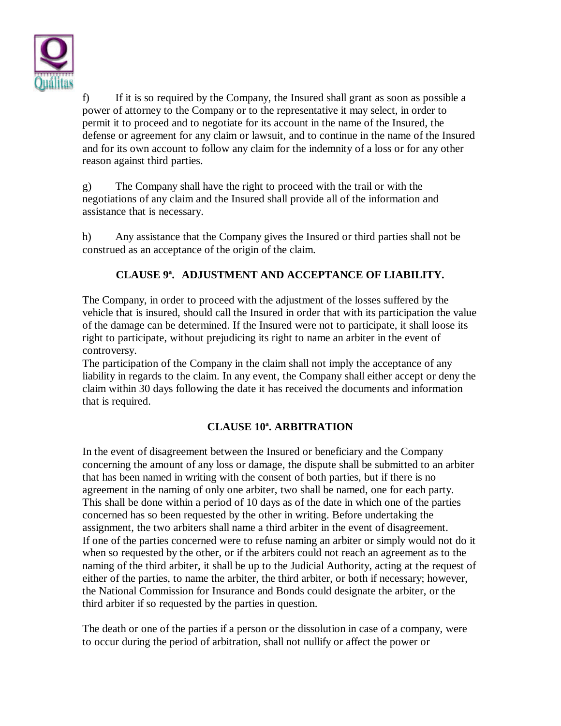

f) If it is so required by the Company, the Insured shall grant as soon as possible a power of attorney to the Company or to the representative it may select, in order to permit it to proceed and to negotiate for its account in the name of the Insured, the defense or agreement for any claim or lawsuit, and to continue in the name of the Insured and for its own account to follow any claim for the indemnity of a loss or for any other reason against third parties.

g) The Company shall have the right to proceed with the trail or with the negotiations of any claim and the Insured shall provide all of the information and assistance that is necessary.

h) Any assistance that the Company gives the Insured or third parties shall not be construed as an acceptance of the origin of the claim.

# **CLAUSE 9ª. ADJUSTMENT AND ACCEPTANCE OF LIABILITY.**

The Company, in order to proceed with the adjustment of the losses suffered by the vehicle that is insured, should call the Insured in order that with its participation the value of the damage can be determined. If the Insured were not to participate, it shall loose its right to participate, without prejudicing its right to name an arbiter in the event of controversy.

The participation of the Company in the claim shall not imply the acceptance of any liability in regards to the claim. In any event, the Company shall either accept or deny the claim within 30 days following the date it has received the documents and information that is required.

## **CLAUSE 10ª. ARBITRATION**

In the event of disagreement between the Insured or beneficiary and the Company concerning the amount of any loss or damage, the dispute shall be submitted to an arbiter that has been named in writing with the consent of both parties, but if there is no agreement in the naming of only one arbiter, two shall be named, one for each party. This shall be done within a period of 10 days as of the date in which one of the parties concerned has so been requested by the other in writing. Before undertaking the assignment, the two arbiters shall name a third arbiter in the event of disagreement. If one of the parties concerned were to refuse naming an arbiter or simply would not do it when so requested by the other, or if the arbiters could not reach an agreement as to the naming of the third arbiter, it shall be up to the Judicial Authority, acting at the request of either of the parties, to name the arbiter, the third arbiter, or both if necessary; however, the National Commission for Insurance and Bonds could designate the arbiter, or the third arbiter if so requested by the parties in question.

The death or one of the parties if a person or the dissolution in case of a company, were to occur during the period of arbitration, shall not nullify or affect the power or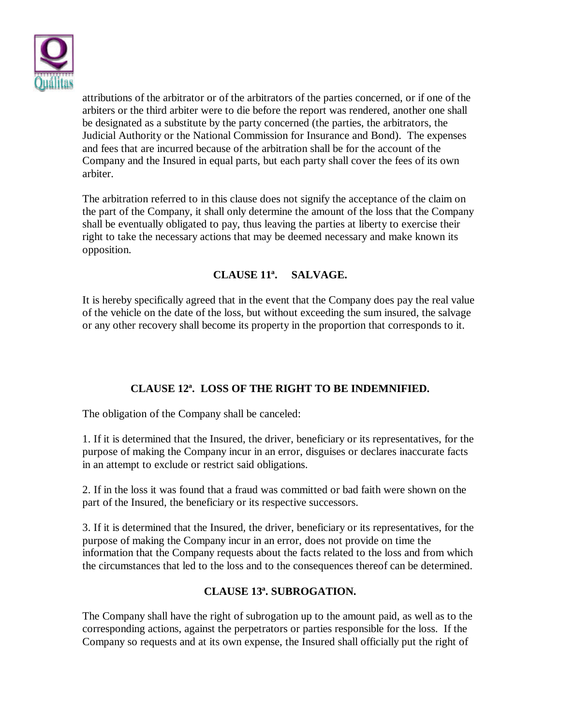

attributions of the arbitrator or of the arbitrators of the parties concerned, or if one of the arbiters or the third arbiter were to die before the report was rendered, another one shall be designated as a substitute by the party concerned (the parties, the arbitrators, the Judicial Authority or the National Commission for Insurance and Bond). The expenses and fees that are incurred because of the arbitration shall be for the account of the Company and the Insured in equal parts, but each party shall cover the fees of its own arbiter.

The arbitration referred to in this clause does not signify the acceptance of the claim on the part of the Company, it shall only determine the amount of the loss that the Company shall be eventually obligated to pay, thus leaving the parties at liberty to exercise their right to take the necessary actions that may be deemed necessary and make known its opposition.

## **CLAUSE 11ª. SALVAGE.**

It is hereby specifically agreed that in the event that the Company does pay the real value of the vehicle on the date of the loss, but without exceeding the sum insured, the salvage or any other recovery shall become its property in the proportion that corresponds to it.

# **CLAUSE 12ª. LOSS OF THE RIGHT TO BE INDEMNIFIED.**

The obligation of the Company shall be canceled:

1. If it is determined that the Insured, the driver, beneficiary or its representatives, for the purpose of making the Company incur in an error, disguises or declares inaccurate facts in an attempt to exclude or restrict said obligations.

2. If in the loss it was found that a fraud was committed or bad faith were shown on the part of the Insured, the beneficiary or its respective successors.

3. If it is determined that the Insured, the driver, beneficiary or its representatives, for the purpose of making the Company incur in an error, does not provide on time the information that the Company requests about the facts related to the loss and from which the circumstances that led to the loss and to the consequences thereof can be determined.

#### **CLAUSE 13ª. SUBROGATION.**

The Company shall have the right of subrogation up to the amount paid, as well as to the corresponding actions, against the perpetrators or parties responsible for the loss. If the Company so requests and at its own expense, the Insured shall officially put the right of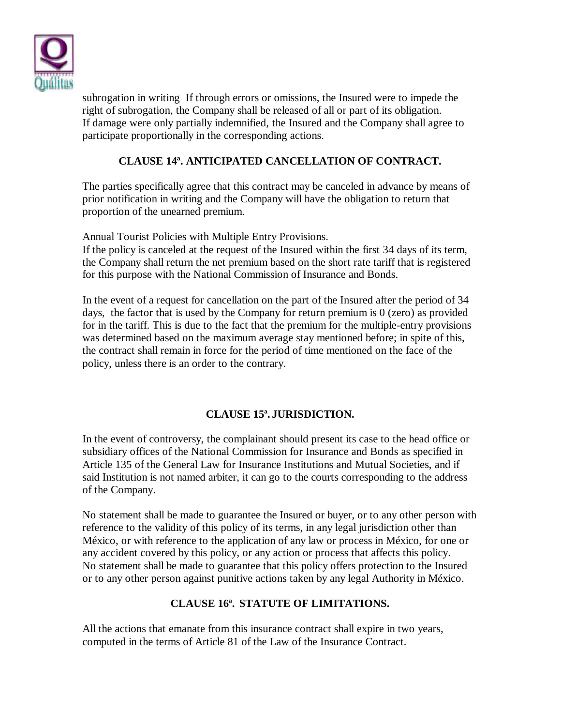

subrogation in writing If through errors or omissions, the Insured were to impede the right of subrogation, the Company shall be released of all or part of its obligation. If damage were only partially indemnified, the Insured and the Company shall agree to participate proportionally in the corresponding actions.

## **CLAUSE 14ª. ANTICIPATED CANCELLATION OF CONTRACT.**

The parties specifically agree that this contract may be canceled in advance by means of prior notification in writing and the Company will have the obligation to return that proportion of the unearned premium.

Annual Tourist Policies with Multiple Entry Provisions.

If the policy is canceled at the request of the Insured within the first 34 days of its term, the Company shall return the net premium based on the short rate tariff that is registered for this purpose with the National Commission of Insurance and Bonds.

In the event of a request for cancellation on the part of the Insured after the period of 34 days, the factor that is used by the Company for return premium is 0 (zero) as provided for in the tariff. This is due to the fact that the premium for the multiple-entry provisions was determined based on the maximum average stay mentioned before; in spite of this, the contract shall remain in force for the period of time mentioned on the face of the policy, unless there is an order to the contrary.

## **CLAUSE 15ª. JURISDICTION.**

In the event of controversy, the complainant should present its case to the head office or subsidiary offices of the National Commission for Insurance and Bonds as specified in Article 135 of the General Law for Insurance Institutions and Mutual Societies, and if said Institution is not named arbiter, it can go to the courts corresponding to the address of the Company.

No statement shall be made to guarantee the Insured or buyer, or to any other person with reference to the validity of this policy of its terms, in any legal jurisdiction other than México, or with reference to the application of any law or process in México, for one or any accident covered by this policy, or any action or process that affects this policy. No statement shall be made to guarantee that this policy offers protection to the Insured or to any other person against punitive actions taken by any legal Authority in México.

#### **CLAUSE 16ª. STATUTE OF LIMITATIONS.**

All the actions that emanate from this insurance contract shall expire in two years, computed in the terms of Article 81 of the Law of the Insurance Contract.